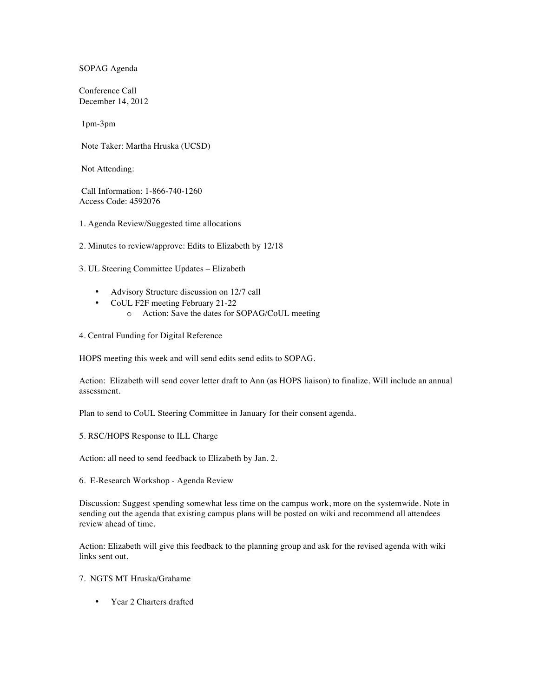SOPAG Agenda

Conference Call December 14, 2012

1pm-3pm

Note Taker: Martha Hruska (UCSD)

Not Attending:

Call Information: 1-866-740-1260 Access Code: 4592076

- 1. Agenda Review/Suggested time allocations
- 2. Minutes to review/approve: Edits to Elizabeth by 12/18

3. UL Steering Committee Updates – Elizabeth

- Advisory Structure discussion on 12/7 call
- CoUL F2F meeting February 21-22
	- o Action: Save the dates for SOPAG/CoUL meeting
- 4. Central Funding for Digital Reference

HOPS meeting this week and will send edits send edits to SOPAG.

Action: Elizabeth will send cover letter draft to Ann (as HOPS liaison) to finalize. Will include an annual assessment.

Plan to send to CoUL Steering Committee in January for their consent agenda.

5. RSC/HOPS Response to ILL Charge

Action: all need to send feedback to Elizabeth by Jan. 2.

6. E-Research Workshop - Agenda Review

Discussion: Suggest spending somewhat less time on the campus work, more on the systemwide. Note in sending out the agenda that existing campus plans will be posted on wiki and recommend all attendees review ahead of time.

Action: Elizabeth will give this feedback to the planning group and ask for the revised agenda with wiki links sent out.

7. NGTS MT Hruska/Grahame

• Year 2 Charters drafted